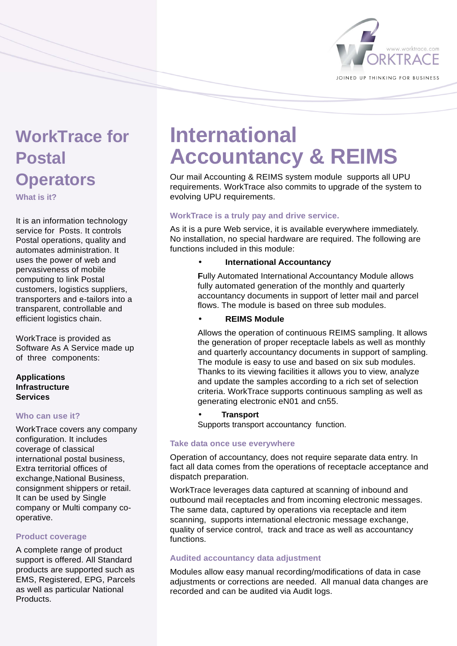

### **WorkTrace for Postal Operators**

**What is it?** 

It is an information technology service for Posts. It controls Postal operations, quality and automates administration. It uses the power of web and pervasiveness of mobile computing to link Postal customers, logistics suppliers, transporters and e-tailors into a transparent, controllable and efficient logistics chain.

WorkTrace is provided as Software As A Service made up of three components:

#### **Applications Infrastructure Services**

#### **Who can use it?**

WorkTrace covers any company configuration. It includes coverage of classical international postal business, Extra territorial offices of exchange,National Business, consignment shippers or retail. It can be used by Single company or Multi company cooperative.

#### **Product coverage**

A complete range of product support is offered. All Standard products are supported such as EMS, Registered, EPG, Parcels as well as particular National **Products** 

## **International Accountancy & REIMS**

Our mail Accounting & REIMS system module supports all UPU requirements. WorkTrace also commits to upgrade of the system to evolving UPU requirements.

#### **WorkTrace is a truly pay and drive service.**

As it is a pure Web service, it is available everywhere immediately. No installation, no special hardware are required. The following are functions included in this module:

• **International Accountancy** 

**F**ully Automated International Accountancy Module allows fully automated generation of the monthly and quarterly accountancy documents in support of letter mail and parcel flows. The module is based on three sub modules.

• **REIMS Module**

Allows the operation of continuous REIMS sampling. It allows the generation of proper receptacle labels as well as monthly and quarterly accountancy documents in support of sampling. The module is easy to use and based on six sub modules. Thanks to its viewing facilities it allows you to view, analyze and update the samples according to a rich set of selection criteria. WorkTrace supports continuous sampling as well as generating electronic eN01 and cn55.

• **Transport** Supports transport accountancy function.

#### **Take data once use everywhere**

Operation of accountancy, does not require separate data entry. In fact all data comes from the operations of receptacle acceptance and dispatch preparation.

WorkTrace leverages data captured at scanning of inbound and outbound mail receptacles and from incoming electronic messages. The same data, captured by operations via receptacle and item scanning, supports international electronic message exchange, quality of service control, track and trace as well as accountancy functions.

#### **Audited accountancy data adjustment**

Modules allow easy manual recording/modifications of data in case adjustments or corrections are needed. All manual data changes are recorded and can be audited via Audit logs.